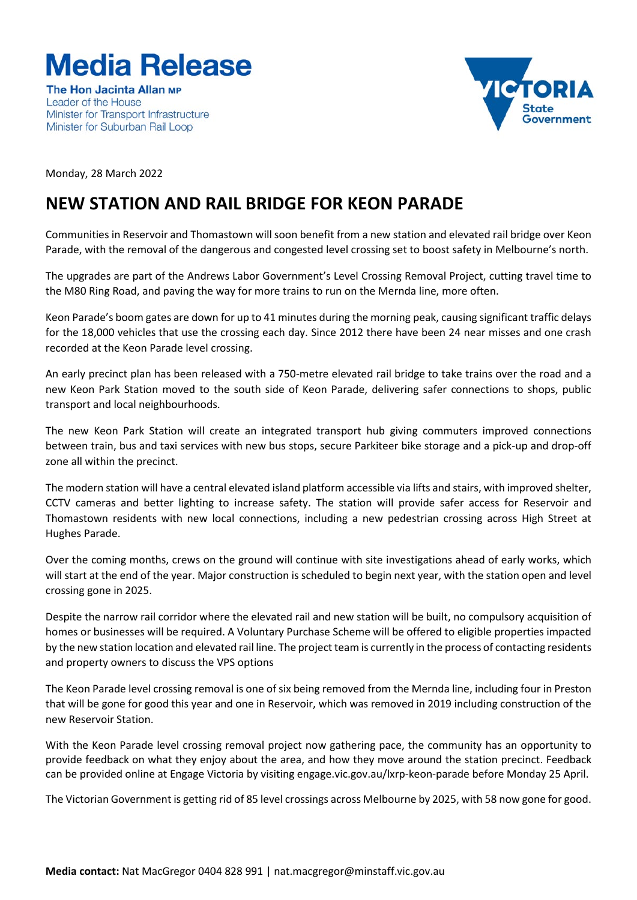# **Media Release**

The Hon Jacinta Allan MP Leader of the House Minister for Transport Infrastructure Minister for Suburban Rail Loop



Monday, 28 March 2022

# **NEW STATION AND RAIL BRIDGE FOR KEON PARADE**

Communities in Reservoir and Thomastown will soon benefit from a new station and elevated rail bridge over Keon Parade, with the removal of the dangerous and congested level crossing set to boost safety in Melbourne's north.

The upgrades are part of the Andrews Labor Government's Level Crossing Removal Project, cutting travel time to the M80 Ring Road, and paving the way for more trains to run on the Mernda line, more often.

Keon Parade's boom gates are down for up to 41 minutes during the morning peak, causing significant traffic delays for the 18,000 vehicles that use the crossing each day. Since 2012 there have been 24 near misses and one crash recorded at the Keon Parade level crossing.

An early precinct plan has been released with a 750-metre elevated rail bridge to take trains over the road and a new Keon Park Station moved to the south side of Keon Parade, delivering safer connections to shops, public transport and local neighbourhoods.

The new Keon Park Station will create an integrated transport hub giving commuters improved connections between train, bus and taxi services with new bus stops, secure Parkiteer bike storage and a pick-up and drop-off zone all within the precinct.

The modern station will have a central elevated island platform accessible via lifts and stairs, with improved shelter, CCTV cameras and better lighting to increase safety. The station will provide safer access for Reservoir and Thomastown residents with new local connections, including a new pedestrian crossing across High Street at Hughes Parade.

Over the coming months, crews on the ground will continue with site investigations ahead of early works, which will start at the end of the year. Major construction is scheduled to begin next year, with the station open and level crossing gone in 2025.

Despite the narrow rail corridor where the elevated rail and new station will be built, no compulsory acquisition of homes or businesses will be required. A Voluntary Purchase Scheme will be offered to eligible properties impacted by the new station location and elevated rail line. The project team is currently in the process of contacting residents and property owners to discuss the VPS options

The Keon Parade level crossing removal is one of six being removed from the Mernda line, including four in Preston that will be gone for good this year and one in Reservoir, which was removed in 2019 including construction of the new Reservoir Station.

With the Keon Parade level crossing removal project now gathering pace, the community has an opportunity to provide feedback on what they enjoy about the area, and how they move around the station precinct. Feedback can be provided online at Engage Victoria by visiting engage.vic.gov.au/lxrp-keon-parade before Monday 25 April.

The Victorian Government is getting rid of 85 level crossings across Melbourne by 2025, with 58 now gone for good.